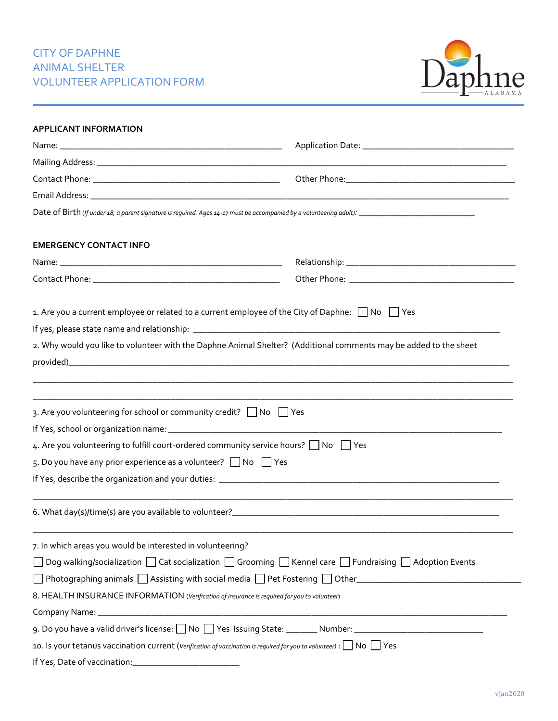# CITY OF DAPHNE ANIMAL SHELTER VOLUNTEER APPLICATION FORM



| <b>APPLICANT INFORMATION</b>                                                                                                    |  |  |
|---------------------------------------------------------------------------------------------------------------------------------|--|--|
|                                                                                                                                 |  |  |
|                                                                                                                                 |  |  |
|                                                                                                                                 |  |  |
|                                                                                                                                 |  |  |
|                                                                                                                                 |  |  |
| <b>EMERGENCY CONTACT INFO</b>                                                                                                   |  |  |
|                                                                                                                                 |  |  |
|                                                                                                                                 |  |  |
| 1. Are you a current employee or related to a current employee of the City of Daphne: $\Box$ No $\Box$ Yes                      |  |  |
|                                                                                                                                 |  |  |
| 2. Why would you like to volunteer with the Daphne Animal Shelter? (Additional comments may be added to the sheet               |  |  |
|                                                                                                                                 |  |  |
| 3. Are you volunteering for school or community credit? $\Box$ No $\Box$ Yes                                                    |  |  |
|                                                                                                                                 |  |  |
| 4. Are you volunteering to fulfill court-ordered community service hours? No Figure                                             |  |  |
| 5. Do you have any prior experience as a volunteer? $\Box$ No $\Box$ Yes                                                        |  |  |
|                                                                                                                                 |  |  |
|                                                                                                                                 |  |  |
| 7. In which areas you would be interested in volunteering?                                                                      |  |  |
| Dog walking/socialization $\Box$ Cat socialization $\Box$ Grooming $\Box$ Kennel care $\Box$ Fundraising $\Box$ Adoption Events |  |  |
|                                                                                                                                 |  |  |
| 8. HEALTH INSURANCE INFORMATION (Verification of insurance is required for you to volunteer)                                    |  |  |
|                                                                                                                                 |  |  |
| 9. Do you have a valid driver's license: No Yes Issuing State: Number: Number: 2000 November: 2000 November: 2000               |  |  |
| 10 10 Yes                                                                                                                       |  |  |
|                                                                                                                                 |  |  |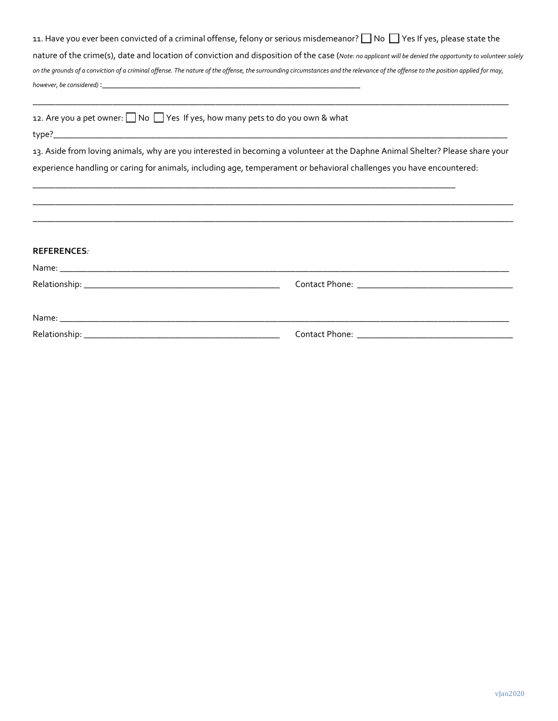| 11. Have you ever been convicted of a criminal offense, felony or serious misdemeanor? No Yes If yes, please state the                                                           |
|----------------------------------------------------------------------------------------------------------------------------------------------------------------------------------|
| nature of the crime(s), date and location of conviction and disposition of the case (Note: no applicant will be denied the opportunity to volunteer solely                       |
| on the grounds of a conviction of a criminal offense. The nature of the offense, the surrounding circumstances and the relevance of the offense to the position applied for may, |
| however, be considered) :                                                                                                                                                        |

|  |  |  | 12. Are you a pet owner: □ No □ Yes If yes, how many pets to do you own & what |  |
|--|--|--|--------------------------------------------------------------------------------|--|
|--|--|--|--------------------------------------------------------------------------------|--|

type?\_\_\_\_\_\_\_\_\_\_\_\_\_\_\_\_\_\_\_\_\_\_\_\_\_\_\_\_\_\_\_\_\_\_\_\_\_\_\_\_\_\_\_\_\_\_\_\_\_\_\_\_\_\_\_\_\_\_\_\_\_\_\_\_\_\_\_\_\_\_\_\_\_\_\_\_\_\_\_\_\_\_\_\_\_\_\_\_\_\_\_\_\_\_\_\_\_\_\_\_\_\_

13. Aside from loving animals, why are you interested in becoming a volunteer at the Daphne Animal Shelter? Please share your experience handling or caring for animals, including age, temperament or behavioral challenges you have encountered:

\_\_\_\_\_\_\_\_\_\_\_\_\_\_\_\_\_\_\_\_\_\_\_\_\_\_\_\_\_\_\_\_\_\_\_\_\_\_\_\_\_\_\_\_\_\_\_\_\_\_\_\_\_\_\_\_\_\_\_\_\_\_\_\_\_\_\_\_\_\_\_\_\_\_\_\_\_\_\_\_\_\_\_\_\_\_\_\_\_\_\_\_\_\_\_\_\_\_\_\_\_\_\_\_\_\_\_\_ \_\_\_\_\_\_\_\_\_\_\_\_\_\_\_\_\_\_\_\_\_\_\_\_\_\_\_\_\_\_\_\_\_\_\_\_\_\_\_\_\_\_\_\_\_\_\_\_\_\_\_\_\_\_\_\_\_\_\_\_\_\_\_\_\_\_\_\_\_\_\_\_\_\_\_\_\_\_\_\_\_\_\_\_\_\_\_\_\_\_\_\_\_\_\_\_\_\_\_\_\_\_\_\_\_\_\_\_

\_\_\_\_\_\_\_\_\_\_\_\_\_\_\_\_\_\_\_\_\_\_\_\_\_\_\_\_\_\_\_\_\_\_\_\_\_\_\_\_\_\_\_\_\_\_\_\_\_\_\_\_\_\_\_\_\_\_\_\_\_\_\_\_\_\_\_\_\_\_\_\_\_\_\_\_\_\_\_\_\_\_\_\_\_\_\_\_\_\_\_\_\_\_\_

\_\_\_\_\_\_\_\_\_\_\_\_\_\_\_\_\_\_\_\_\_\_\_\_\_\_\_\_\_\_\_\_\_\_\_\_\_\_\_\_\_\_\_\_\_\_\_\_\_\_\_\_\_\_\_\_\_\_\_\_\_\_\_\_\_\_\_\_\_\_\_\_\_\_\_\_\_\_\_\_\_\_\_\_\_\_\_\_\_\_\_\_\_\_\_\_\_\_\_\_\_\_\_\_\_\_\_

| <b>REFERENCES:</b> |  |
|--------------------|--|
|                    |  |
|                    |  |
|                    |  |
|                    |  |
|                    |  |
|                    |  |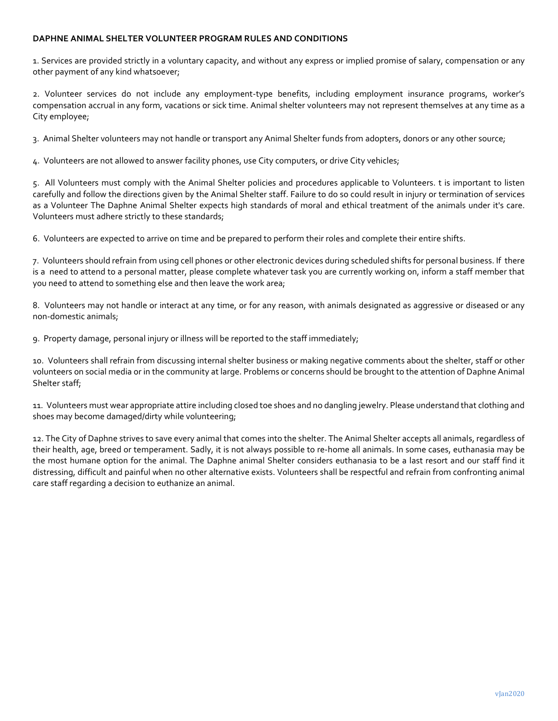## **DAPHNE ANIMAL SHELTER VOLUNTEER PROGRAM RULES AND CONDITIONS**

1. Services are provided strictly in a voluntary capacity, and without any express or implied promise of salary, compensation or any other payment of any kind whatsoever;

2. Volunteer services do not include any employment-type benefits, including employment insurance programs, worker's compensation accrual in any form, vacations or sick time. Animal shelter volunteers may not represent themselves at any time as a City employee;

3. Animal Shelter volunteers may not handle or transport any Animal Shelter funds from adopters, donors or any other source;

4. Volunteers are not allowed to answer facility phones, use City computers, or drive City vehicles;

5. All Volunteers must comply with the Animal Shelter policies and procedures applicable to Volunteers. t is important to listen carefully and follow the directions given by the Animal Shelter staff. Failure to do so could result in injury or termination of services as a Volunteer The Daphne Animal Shelter expects high standards of moral and ethical treatment of the animals under it's care. Volunteers must adhere strictly to these standards;

6. Volunteers are expected to arrive on time and be prepared to perform their roles and complete their entire shifts.

7. Volunteers should refrain from using cell phones or other electronic devices during scheduled shifts for personal business. If there is a need to attend to a personal matter, please complete whatever task you are currently working on, inform a staff member that you need to attend to something else and then leave the work area;

8. Volunteers may not handle or interact at any time, or for any reason, with animals designated as aggressive or diseased or any non-domestic animals;

9. Property damage, personal injury or illness will be reported to the staff immediately;

10. Volunteers shall refrain from discussing internal shelter business or making negative comments about the shelter, staff or other volunteers on social media or in the community at large. Problems or concerns should be brought to the attention of Daphne Animal Shelter staff;

11. Volunteers must wear appropriate attire including closed toe shoes and no dangling jewelry. Please understand that clothing and shoes may become damaged/dirty while volunteering;

12. The City of Daphne strives to save every animal that comes into the shelter. The Animal Shelter accepts all animals, regardless of their health, age, breed or temperament. Sadly, it is not always possible to re-home all animals. In some cases, euthanasia may be the most humane option for the animal. The Daphne animal Shelter considers euthanasia to be a last resort and our staff find it distressing, difficult and painful when no other alternative exists. Volunteers shall be respectful and refrain from confronting animal care staff regarding a decision to euthanize an animal.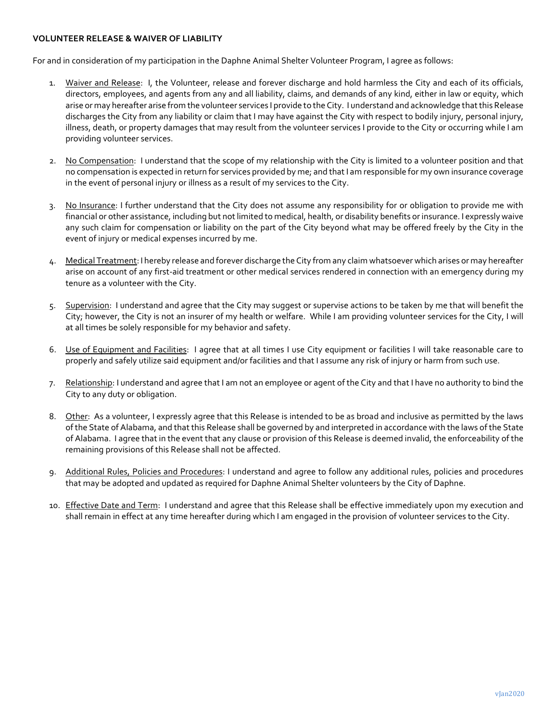### **VOLUNTEER RELEASE & WAIVER OF LIABILITY**

For and in consideration of my participation in the Daphne Animal Shelter Volunteer Program, I agree as follows:

- 1. Waiver and Release:I, the Volunteer, release and forever discharge and hold harmless the City and each of its officials, directors, employees, and agents from any and all liability, claims, and demands of any kind, either in law or equity, which arise or may hereafter arise from the volunteer services I provide to the City. I understand and acknowledge that this Release discharges the City from any liability or claim that I may have against the City with respect to bodily injury, personal injury, illness, death, or property damages that may result from the volunteer services I provide to the City or occurring while I am providing volunteer services.
- 2. No Compensation: I understand that the scope of my relationship with the City is limited to a volunteer position and that no compensation is expected in return for services provided by me; and that I am responsible for my own insurance coverage in the event of personal injury or illness as a result of my services to the City.
- 3. No Insurance: I further understand that the City does not assume any responsibility for or obligation to provide me with financial or other assistance, including but not limited to medical, health, or disability benefits or insurance. I expressly waive any such claim for compensation or liability on the part of the City beyond what may be offered freely by the City in the event of injury or medical expenses incurred by me.
- 4. Medical Treatment: I hereby release and forever discharge the City from any claim whatsoever which arises or may hereafter arise on account of any first-aid treatment or other medical services rendered in connection with an emergency during my tenure as a volunteer with the City.
- 5. Supervision: I understand and agree that the City may suggest or supervise actions to be taken by me that will benefit the City; however, the City is not an insurer of my health or welfare. While I am providing volunteer services for the City, I will at all times be solely responsible for my behavior and safety.
- 6. Use of Equipment and Facilities: I agree that at all times I use City equipment or facilities I will take reasonable care to properly and safely utilize said equipment and/or facilities and that I assume any risk of injury or harm from such use.
- 7. Relationship: I understand and agree that I am not an employee or agent of the City and that I have no authority to bind the City to any duty or obligation.
- 8. Other: As a volunteer, I expressly agree that this Release is intended to be as broad and inclusive as permitted by the laws of the State of Alabama, and that this Release shall be governed by and interpreted in accordance with the laws of the State of Alabama. I agree that in the event that any clause or provision of this Release is deemed invalid, the enforceability of the remaining provisions of this Release shall not be affected.
- 9. Additional Rules, Policies and Procedures: I understand and agree to follow any additional rules, policies and procedures that may be adopted and updated as required for Daphne Animal Shelter volunteers by the City of Daphne.
- 10. Effective Date and Term: I understand and agree that this Release shall be effective immediately upon my execution and shall remain in effect at any time hereafter during which I am engaged in the provision of volunteer services to the City.